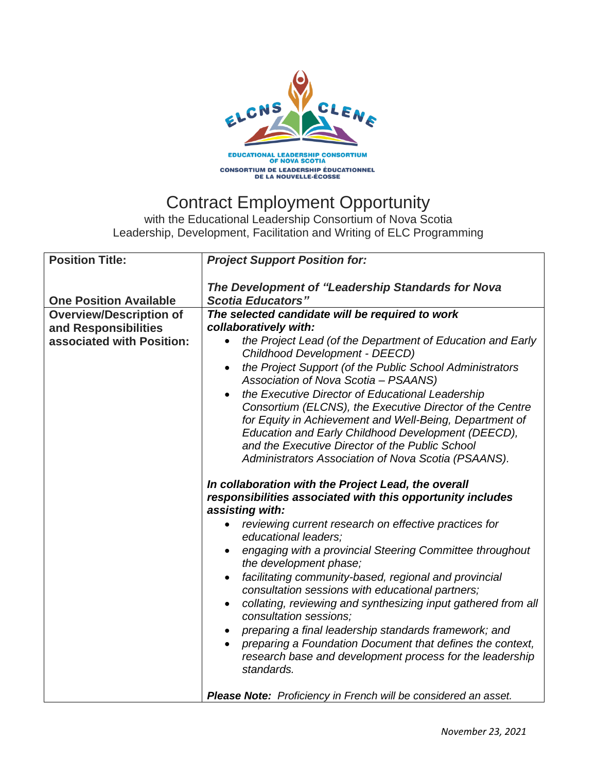

## Contract Employment Opportunity

with the Educational Leadership Consortium of Nova Scotia Leadership, Development, Facilitation and Writing of ELC Programming

| <b>Position Title:</b>                            | <b>Project Support Position for:</b>                                                                                                                                                                                                                                                                                                                                                                                                                                                                                                                                                                                                                                                                                                                                                                                                                                                             |
|---------------------------------------------------|--------------------------------------------------------------------------------------------------------------------------------------------------------------------------------------------------------------------------------------------------------------------------------------------------------------------------------------------------------------------------------------------------------------------------------------------------------------------------------------------------------------------------------------------------------------------------------------------------------------------------------------------------------------------------------------------------------------------------------------------------------------------------------------------------------------------------------------------------------------------------------------------------|
| <b>One Position Available</b>                     | The Development of "Leadership Standards for Nova<br><b>Scotia Educators"</b>                                                                                                                                                                                                                                                                                                                                                                                                                                                                                                                                                                                                                                                                                                                                                                                                                    |
| <b>Overview/Description of</b>                    | The selected candidate will be required to work                                                                                                                                                                                                                                                                                                                                                                                                                                                                                                                                                                                                                                                                                                                                                                                                                                                  |
|                                                   |                                                                                                                                                                                                                                                                                                                                                                                                                                                                                                                                                                                                                                                                                                                                                                                                                                                                                                  |
| and Responsibilities<br>associated with Position: | collaboratively with:<br>the Project Lead (of the Department of Education and Early<br>Childhood Development - DEECD)<br>the Project Support (of the Public School Administrators<br>Association of Nova Scotia - PSAANS)<br>the Executive Director of Educational Leadership<br>Consortium (ELCNS), the Executive Director of the Centre<br>for Equity in Achievement and Well-Being, Department of<br>Education and Early Childhood Development (DEECD),<br>and the Executive Director of the Public School<br>Administrators Association of Nova Scotia (PSAANS).<br>In collaboration with the Project Lead, the overall<br>responsibilities associated with this opportunity includes<br>assisting with:<br>reviewing current research on effective practices for<br>$\bullet$<br>educational leaders;<br>engaging with a provincial Steering Committee throughout<br>the development phase; |
|                                                   | facilitating community-based, regional and provincial<br>$\bullet$<br>consultation sessions with educational partners;                                                                                                                                                                                                                                                                                                                                                                                                                                                                                                                                                                                                                                                                                                                                                                           |
|                                                   | collating, reviewing and synthesizing input gathered from all<br>$\bullet$<br>consultation sessions;                                                                                                                                                                                                                                                                                                                                                                                                                                                                                                                                                                                                                                                                                                                                                                                             |
|                                                   | preparing a final leadership standards framework; and                                                                                                                                                                                                                                                                                                                                                                                                                                                                                                                                                                                                                                                                                                                                                                                                                                            |
|                                                   | preparing a Foundation Document that defines the context,<br>research base and development process for the leadership<br>standards.                                                                                                                                                                                                                                                                                                                                                                                                                                                                                                                                                                                                                                                                                                                                                              |
|                                                   | Please Note: Proficiency in French will be considered an asset.                                                                                                                                                                                                                                                                                                                                                                                                                                                                                                                                                                                                                                                                                                                                                                                                                                  |